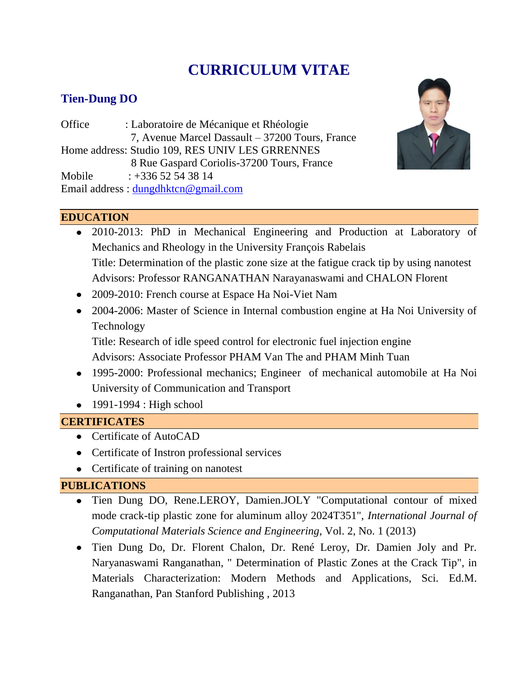# **CURRICULUM VITAE**

## **Tien-Dung DO**

Office : Laboratoire de Mécanique et Rhéologie 7, Avenue Marcel Dassault – 37200 Tours, France Home address: Studio 109, RES UNIV LES GRRENNES 8 Rue Gaspard Coriolis-37200 Tours, France Mobile : +336 52 54 38 14 Email address : [dungdhktcn@gmail.com](mailto:dungdhktcn@gmail.com)



## **EDUCATION**

- 2010-2013: PhD in Mechanical Engineering and Production at Laboratory of Mechanics and Rheology in the University François Rabelais Title: Determination of the plastic zone size at the fatigue crack tip by using nanotest Advisors: Professor RANGANATHAN Narayanaswami and CHALON Florent
- 2009-2010: French course at Espace Ha Noi-Viet Nam
- 2004-2006: Master of Science in Internal combustion engine at Ha Noi University of Technology

Title: Research of idle speed control for electronic fuel injection engine Advisors: Associate Professor PHAM Van The and PHAM Minh Tuan

- 1995-2000: Professional mechanics; Engineer of mechanical automobile at Ha Noi University of Communication and Transport
- $\bullet$  1991-1994 : High school

## **CERTIFICATES**

- Certificate of AutoCAD
- Certificate of Instron professional services
- Certificate of training on nanotest

## **PUBLICATIONS**

- Tien Dung DO, Rene.LEROY, Damien.JOLY "Computational contour of mixed mode crack-tip plastic zone for aluminum alloy 2024T351", *International Journal of Computational Materials Science and Engineering*, Vol. 2, No. 1 (2013)
- Tien Dung Do, Dr. Florent Chalon, Dr. René Leroy, Dr. Damien Joly and Pr. Naryanaswami Ranganathan, " Determination of Plastic Zones at the Crack Tip", in Materials Characterization: Modern Methods and Applications, Sci. Ed.M. Ranganathan, Pan Stanford Publishing , 2013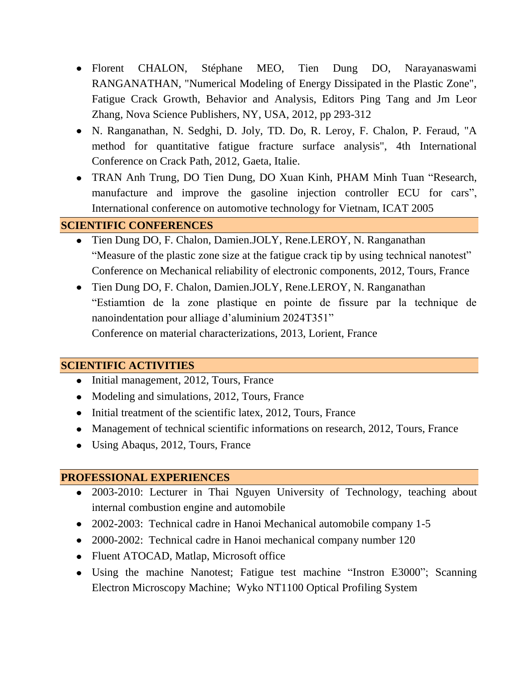- Florent CHALON, Stéphane MEO, Tien Dung DO, Narayanaswami RANGANATHAN, "Numerical Modeling of Energy Dissipated in the Plastic Zone", Fatigue Crack Growth, Behavior and Analysis, Editors Ping Tang and Jm Leor Zhang, Nova Science Publishers, NY, USA, 2012, pp 293-312
- N. Ranganathan, N. Sedghi, D. Joly, TD. Do, R. Leroy, F. Chalon, P. Feraud, "A method for quantitative fatigue fracture surface analysis", 4th International Conference on Crack Path, 2012, Gaeta, Italie.
- TRAN Anh Trung, DO Tien Dung, DO Xuan Kinh, PHAM Minh Tuan "Research, manufacture and improve the gasoline injection controller ECU for cars", International conference on automotive technology for Vietnam, ICAT 2005

## **SCIENTIFIC CONFERENCES**

- Tien Dung DO, F. Chalon, Damien.JOLY, Rene.LEROY, N. Ranganathan "Measure of the plastic zone size at the fatigue crack tip by using technical nanotest" Conference on Mechanical reliability of electronic components, 2012, Tours, France
- Tien Dung DO, F. Chalon, Damien.JOLY, Rene.LEROY, N. Ranganathan "Estiamtion de la zone plastique en pointe de fissure par la technique de nanoindentation pour alliage d'aluminium 2024T351" Conference on material characterizations, 2013, Lorient, France

## **SCIENTIFIC ACTIVITIES**

- Initial management, 2012, Tours, France
- Modeling and simulations, 2012, Tours, France
- $\bullet$  Initial treatment of the scientific latex, 2012, Tours, France
- Management of technical scientific informations on research, 2012, Tours, France
- Using Abaqus, 2012, Tours, France

## **PROFESSIONAL EXPERIENCES**

- 2003-2010: Lecturer in Thai Nguyen University of Technology, teaching about internal combustion engine and automobile
- 2002-2003: Technical cadre in Hanoi Mechanical automobile company 1-5
- 2000-2002: Technical cadre in Hanoi mechanical company number 120
- Fluent ATOCAD, Matlap, Microsoft office
- Using the machine Nanotest; Fatigue test machine "Instron E3000"; Scanning Electron Microscopy Machine; Wyko NT1100 Optical Profiling System